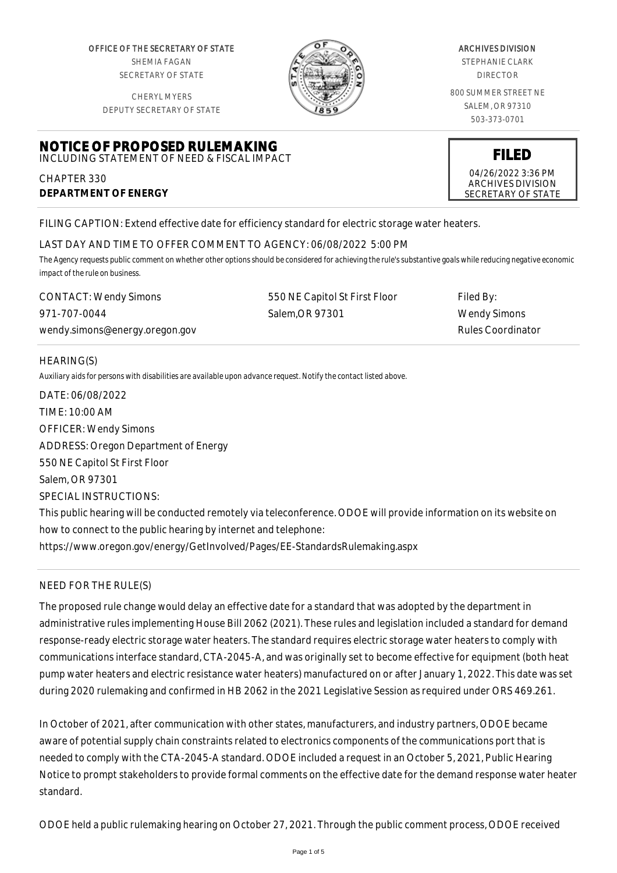OFFICE OF THE SECRETARY OF STATE SHEMIA FAGAN SECRETARY OF STATE

CHERYL MYERS



#### ARCHIVES DIVISION

STEPHANIE CLARK DIRECTOR

800 SUMMER STREET NE SALEM, OR 97310 503-373-0701

> **FILED** 04/26/2022 3:36 PM ARCHIVES DIVISION SECRETARY OF STATE

DEPUTY SECRETARY OF STATE

#### **NOTICE OF PROPOSED RULEMAKING** INCLUDING STATEMENT OF NEED & FISCAL IMPACT

CHAPTER 330 **DEPARTMENT OF ENERGY**

FILING CAPTION: Extend effective date for efficiency standard for electric storage water heaters.

## LAST DAY AND TIME TO OFFER COMMENT TO AGENCY: 06/08/2022 5:00 PM

*The Agency requests public comment on whether other options should be considered for achieving the rule's substantive goals while reducing negative economic impact of the rule on business.*

| <b>CONTACT: Wendy Simons</b>   | 550 NE Capitol St First Floor | Filed By:         |
|--------------------------------|-------------------------------|-------------------|
| 971-707-0044                   | Salem.OR 97301                | Wendy Simons      |
| wendy.simons@energy.oregon.gov |                               | Rules Coordinator |

## HEARING(S)

*Auxiliary aids for persons with disabilities are available upon advance request. Notify the contact listed above.*

DATE: 06/08/2022 TIME: 10:00 AM OFFICER: Wendy Simons ADDRESS: Oregon Department of Energy 550 NE Capitol St First Floor Salem, OR 97301 SPECIAL INSTRUCTIONS:

This public hearing will be conducted remotely via teleconference. ODOE will provide information on its website on how to connect to the public hearing by internet and telephone: https://www.oregon.gov/energy/GetInvolved/Pages/EE-StandardsRulemaking.aspx

# NEED FOR THE RULE(S)

The proposed rule change would delay an effective date for a standard that was adopted by the department in administrative rules implementing House Bill 2062 (2021). These rules and legislation included a standard for demand response-ready electric storage water heaters. The standard requires electric storage water heaters to comply with communications interface standard, CTA-2045-A, and was originally set to become effective for equipment (both heat pump water heaters and electric resistance water heaters) manufactured on or after January 1, 2022. This date was set during 2020 rulemaking and confirmed in HB 2062 in the 2021 Legislative Session as required under ORS 469.261.

In October of 2021, after communication with other states, manufacturers, and industry partners, ODOE became aware of potential supply chain constraints related to electronics components of the communications port that is needed to comply with the CTA-2045-A standard. ODOE included a request in an October 5, 2021, Public Hearing Notice to prompt stakeholders to provide formal comments on the effective date for the demand response water heater standard.

ODOE held a public rulemaking hearing on October 27, 2021. Through the public comment process, ODOE received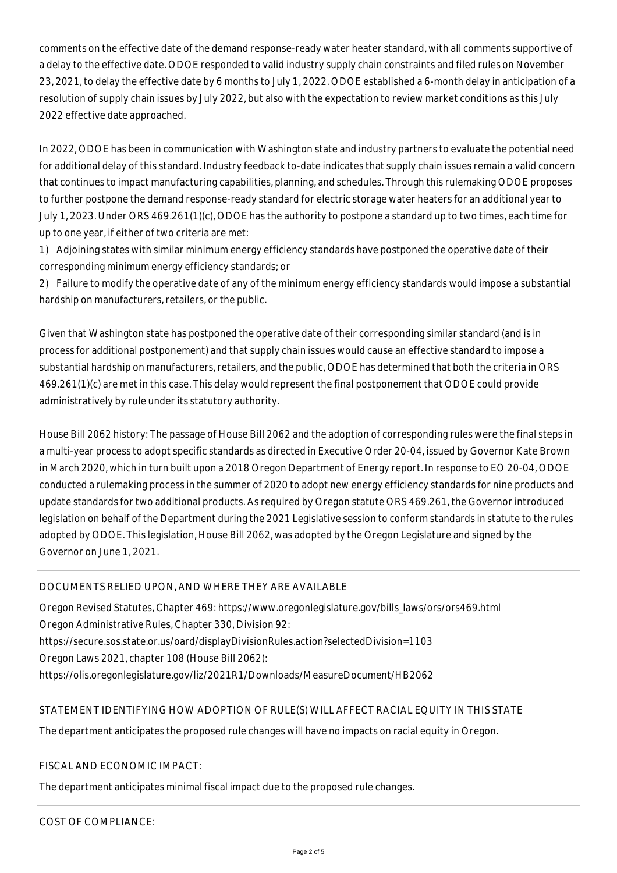comments on the effective date of the demand response-ready water heater standard, with all comments supportive of a delay to the effective date. ODOE responded to valid industry supply chain constraints and filed rules on November 23, 2021, to delay the effective date by 6 months to July 1, 2022. ODOE established a 6-month delay in anticipation of a resolution of supply chain issues by July 2022, but also with the expectation to review market conditions as this July 2022 effective date approached.

In 2022, ODOE has been in communication with Washington state and industry partners to evaluate the potential need for additional delay of this standard. Industry feedback to-date indicates that supply chain issues remain a valid concern that continues to impact manufacturing capabilities, planning, and schedules. Through this rulemaking ODOE proposes to further postpone the demand response-ready standard for electric storage water heaters for an additional year to July 1, 2023. Under ORS 469.261(1)(c), ODOE has the authority to postpone a standard up to two times, each time for up to one year, if either of two criteria are met:

1) Adjoining states with similar minimum energy efficiency standards have postponed the operative date of their corresponding minimum energy efficiency standards; or

2) Failure to modify the operative date of any of the minimum energy efficiency standards would impose a substantial hardship on manufacturers, retailers, or the public.

Given that Washington state has postponed the operative date of their corresponding similar standard (and is in process for additional postponement) and that supply chain issues would cause an effective standard to impose a substantial hardship on manufacturers, retailers, and the public, ODOE has determined that both the criteria in ORS 469.261(1)(c) are met in this case. This delay would represent the final postponement that ODOE could provide administratively by rule under its statutory authority.

House Bill 2062 history: The passage of House Bill 2062 and the adoption of corresponding rules were the final steps in a multi-year process to adopt specific standards as directed in Executive Order 20-04, issued by Governor Kate Brown in March 2020, which in turn built upon a 2018 Oregon Department of Energy report. In response to EO 20-04, ODOE conducted a rulemaking process in the summer of 2020 to adopt new energy efficiency standards for nine products and update standards for two additional products. As required by Oregon statute ORS 469.261, the Governor introduced legislation on behalf of the Department during the 2021 Legislative session to conform standards in statute to the rules adopted by ODOE. This legislation, House Bill 2062, was adopted by the Oregon Legislature and signed by the Governor on June 1, 2021.

## DOCUMENTS RELIED UPON, AND WHERE THEY ARE AVAILABLE

Oregon Revised Statutes, Chapter 469: https://www.oregonlegislature.gov/bills\_laws/ors/ors469.html Oregon Administrative Rules, Chapter 330, Division 92: https://secure.sos.state.or.us/oard/displayDivisionRules.action?selectedDivision=1103 Oregon Laws 2021, chapter 108 (House Bill 2062): https://olis.oregonlegislature.gov/liz/2021R1/Downloads/MeasureDocument/HB2062

# STATEMENT IDENTIFYING HOW ADOPTION OF RULE(S) WILL AFFECT RACIAL EQUITY IN THIS STATE

The department anticipates the proposed rule changes will have no impacts on racial equity in Oregon.

## FISCAL AND ECONOMIC IMPACT:

The department anticipates minimal fiscal impact due to the proposed rule changes.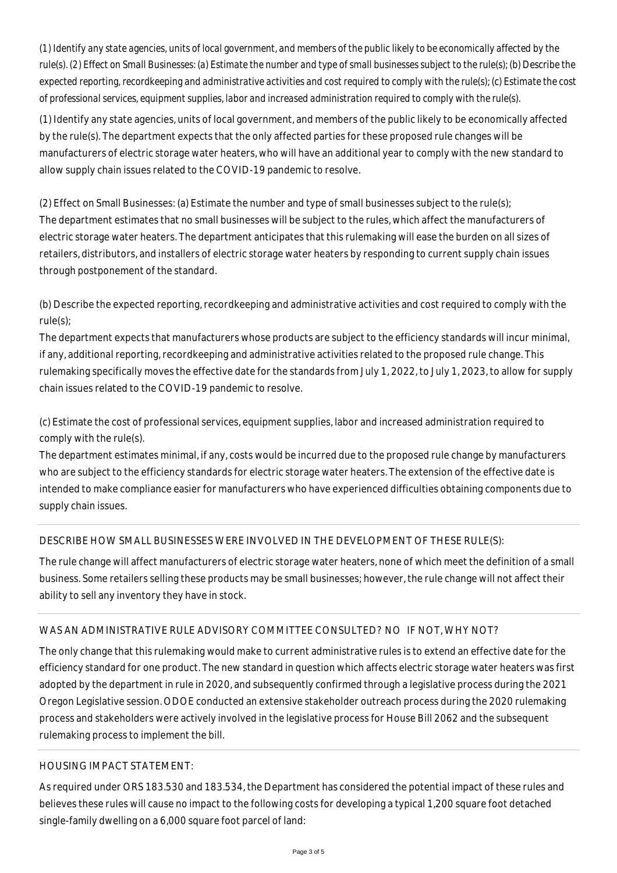*(1) Identify any state agencies, units of local government, and members of the public likely to be economically affected by the rule(s). (2) Effect on Small Businesses: (a) Estimate the number and type of small businesses subject to the rule(s); (b) Describe the expected reporting, recordkeeping and administrative activities and cost required to comply with the rule(s); (c) Estimate the cost of professional services, equipment supplies, labor and increased administration required to comply with the rule(s).*

(1) Identify any state agencies, units of local government, and members of the public likely to be economically affected by the rule(s). The department expects that the only affected parties for these proposed rule changes will be manufacturers of electric storage water heaters, who will have an additional year to comply with the new standard to allow supply chain issues related to the COVID-19 pandemic to resolve.

(2) Effect on Small Businesses: (a) Estimate the number and type of small businesses subject to the rule(s); The department estimates that no small businesses will be subject to the rules, which affect the manufacturers of electric storage water heaters. The department anticipates that this rulemaking will ease the burden on all sizes of retailers, distributors, and installers of electric storage water heaters by responding to current supply chain issues through postponement of the standard.

(b) Describe the expected reporting, recordkeeping and administrative activities and cost required to comply with the rule(s);

The department expects that manufacturers whose products are subject to the efficiency standards will incur minimal, if any, additional reporting, recordkeeping and administrative activities related to the proposed rule change. This rulemaking specifically moves the effective date for the standards from July 1, 2022, to July 1, 2023, to allow for supply chain issues related to the COVID-19 pandemic to resolve.

(c) Estimate the cost of professional services, equipment supplies, labor and increased administration required to comply with the rule(s).

The department estimates minimal, if any, costs would be incurred due to the proposed rule change by manufacturers who are subject to the efficiency standards for electric storage water heaters. The extension of the effective date is intended to make compliance easier for manufacturers who have experienced difficulties obtaining components due to supply chain issues.

# DESCRIBE HOW SMALL BUSINESSES WERE INVOLVED IN THE DEVELOPMENT OF THESE RULE(S):

The rule change will affect manufacturers of electric storage water heaters, none of which meet the definition of a small business. Some retailers selling these products may be small businesses; however, the rule change will not affect their ability to sell any inventory they have in stock.

## WAS AN ADMINISTRATIVE RULE ADVISORY COMMITTEE CONSULTED? NO IF NOT, WHY NOT?

The only change that this rulemaking would make to current administrative rules is to extend an effective date for the efficiency standard for one product. The new standard in question which affects electric storage water heaters was first adopted by the department in rule in 2020, and subsequently confirmed through a legislative process during the 2021 Oregon Legislative session. ODOE conducted an extensive stakeholder outreach process during the 2020 rulemaking process and stakeholders were actively involved in the legislative process for House Bill 2062 and the subsequent rulemaking process to implement the bill.

#### HOUSING IMPACT STATEMENT:

As required under ORS 183.530 and 183.534, the Department has considered the potential impact of these rules and believes these rules will cause no impact to the following costs for developing a typical 1,200 square foot detached single-family dwelling on a 6,000 square foot parcel of land: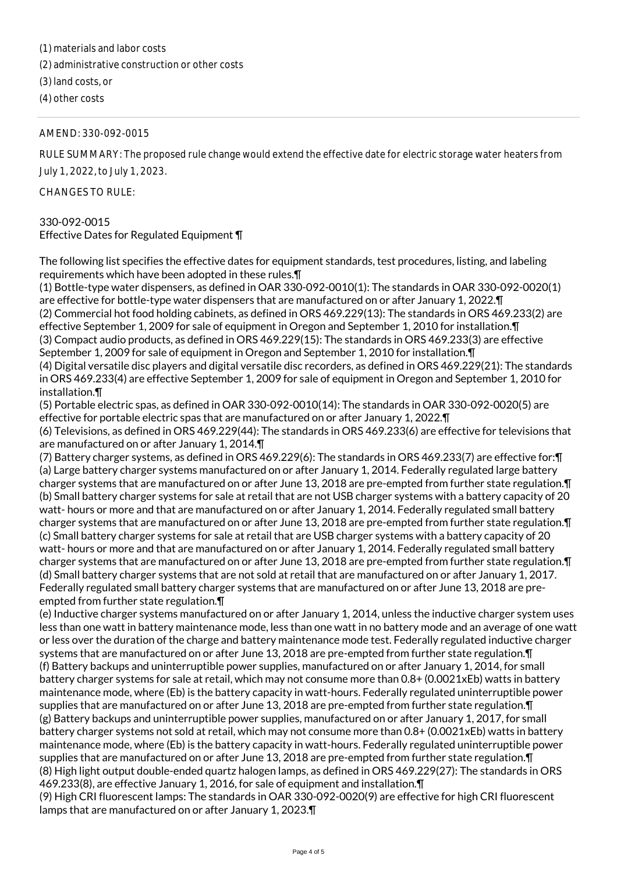(1) materials and labor costs

(2) administrative construction or other costs

(3) land costs, or

(4) other costs

### AMEND: 330-092-0015

RULE SUMMARY: The proposed rule change would extend the effective date for electric storage water heaters from July 1, 2022, to July 1, 2023.

CHANGES TO RULE:

### 330-092-0015

Effective Dates for Regulated Equipment ¶

The following list specifies the effective dates for equipment standards, test procedures, listing, and labeling requirements which have been adopted in these rules.¶

(1) Bottle-type water dispensers, as defined in OAR 330-092-0010(1): The standards in OAR 330-092-0020(1) are effective for bottle-type water dispensers that are manufactured on or after January 1, 2022.¶ (2) Commercial hot food holding cabinets, as defined in ORS 469.229(13): The standards in ORS 469.233(2) are effective September 1, 2009 for sale of equipment in Oregon and September 1, 2010 for installation.¶ (3) Compact audio products, as defined in ORS 469.229(15): The standards in ORS 469.233(3) are effective September 1, 2009 for sale of equipment in Oregon and September 1, 2010 for installation.¶

(4) Digital versatile disc players and digital versatile disc recorders, as defined in ORS 469.229(21): The standards in ORS 469.233(4) are effective September 1, 2009 for sale of equipment in Oregon and September 1, 2010 for installation.¶

(5) Portable electric spas, as defined in OAR 330-092-0010(14): The standards in OAR 330-092-0020(5) are effective for portable electric spas that are manufactured on or after January 1, 2022.¶

(6) Televisions, as defined in ORS 469.229(44): The standards in ORS 469.233(6) are effective for televisions that are manufactured on or after January 1, 2014.¶

(7) Battery charger systems, as defined in ORS 469.229(6): The standards in ORS 469.233(7) are effective for:¶ (a) Large battery charger systems manufactured on or after January 1, 2014. Federally regulated large battery charger systems that are manufactured on or after June 13, 2018 are pre-empted from further state regulation.¶ (b) Small battery charger systems for sale at retail that are not USB charger systems with a battery capacity of 20 watt- hours or more and that are manufactured on or after January 1, 2014. Federally regulated small battery charger systems that are manufactured on or after June 13, 2018 are pre-empted from further state regulation.¶ (c) Small battery charger systems for sale at retail that are USB charger systems with a battery capacity of 20 watt- hours or more and that are manufactured on or after January 1, 2014. Federally regulated small battery charger systems that are manufactured on or after June 13, 2018 are pre-empted from further state regulation.¶ (d) Small battery charger systems that are not sold at retail that are manufactured on or after January 1, 2017. Federally regulated small battery charger systems that are manufactured on or after June 13, 2018 are preempted from further state regulation.¶

(e) Inductive charger systems manufactured on or after January 1, 2014, unless the inductive charger system uses less than one watt in battery maintenance mode, less than one watt in no battery mode and an average of one watt or less over the duration of the charge and battery maintenance mode test. Federally regulated inductive charger systems that are manufactured on or after June 13, 2018 are pre-empted from further state regulation.¶ (f) Battery backups and uninterruptible power supplies, manufactured on or after January 1, 2014, for small battery charger systems for sale at retail, which may not consume more than 0.8+ (0.0021xEb) watts in battery maintenance mode, where (Eb) is the battery capacity in watt-hours. Federally regulated uninterruptible power supplies that are manufactured on or after June 13, 2018 are pre-empted from further state regulation.¶ (g) Battery backups and uninterruptible power supplies, manufactured on or after January 1, 2017, for small battery charger systems not sold at retail, which may not consume more than 0.8+ (0.0021xEb) watts in battery maintenance mode, where (Eb) is the battery capacity in watt-hours. Federally regulated uninterruptible power supplies that are manufactured on or after June 13, 2018 are pre-empted from further state regulation.¶ (8) High light output double-ended quartz halogen lamps, as defined in ORS 469.229(27): The standards in ORS 469.233(8), are effective January 1, 2016, for sale of equipment and installation.¶

(9) High CRI fluorescent lamps: The standards in OAR 330-092-0020(9) are effective for high CRI fluorescent lamps that are manufactured on or after January 1, 2023.¶